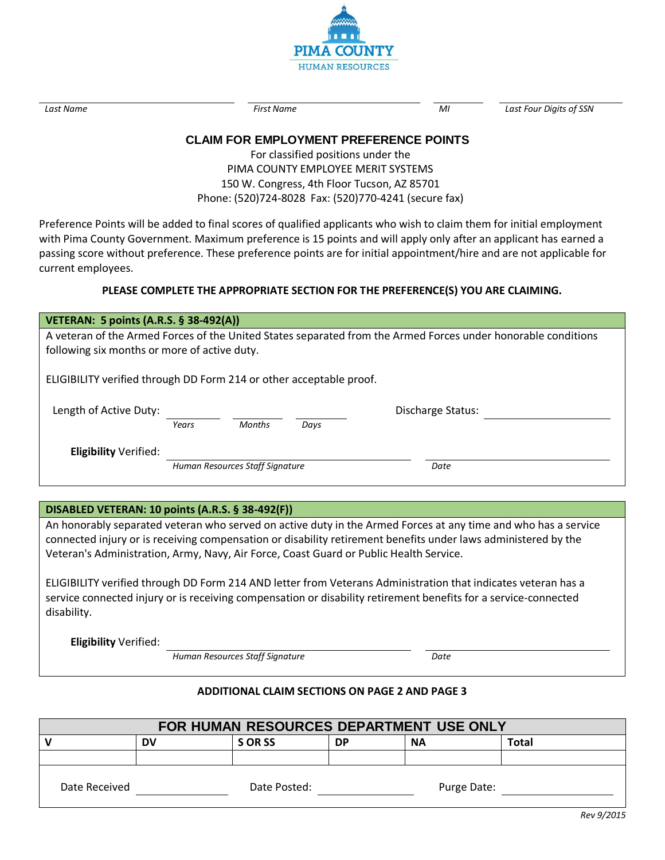

*Last Name First Name MI Last Four Digits of SSN*

# **CLAIM FOR EMPLOYMENT PREFERENCE POINTS**

For classified positions under the PIMA COUNTY EMPLOYEE MERIT SYSTEMS 150 W. Congress, 4th Floor Tucson, AZ 85701 Phone: (520)724-8028 Fax: (520)770-4241 (secure fax)

Preference Points will be added to final scores of qualified applicants who wish to claim them for initial employment with Pima County Government. Maximum preference is 15 points and will apply only after an applicant has earned a passing score without preference. These preference points are for initial appointment/hire and are not applicable for current employees.

#### **PLEASE COMPLETE THE APPROPRIATE SECTION FOR THE PREFERENCE(S) YOU ARE CLAIMING.**

| <b>VETERAN: 5 points (A.R.S. § 38-492(A))</b>                                                                 |                                 |               |      |      |  |
|---------------------------------------------------------------------------------------------------------------|---------------------------------|---------------|------|------|--|
| A veteran of the Armed Forces of the United States separated from the Armed Forces under honorable conditions |                                 |               |      |      |  |
| following six months or more of active duty.                                                                  |                                 |               |      |      |  |
| ELIGIBILITY verified through DD Form 214 or other acceptable proof.                                           |                                 |               |      |      |  |
| Length of Active Duty:                                                                                        | Discharge Status:               |               |      |      |  |
|                                                                                                               | Years                           | <b>Months</b> | Days |      |  |
| <b>Eligibility Verified:</b>                                                                                  |                                 |               |      |      |  |
|                                                                                                               | Human Resources Staff Signature |               |      | Date |  |
|                                                                                                               |                                 |               |      |      |  |

#### **DISABLED VETERAN: 10 points (A.R.S. § 38-492(F))**

An honorably separated veteran who served on active duty in the Armed Forces at any time and who has a service connected injury or is receiving compensation or disability retirement benefits under laws administered by the Veteran's Administration, Army, Navy, Air Force, Coast Guard or Public Health Service.

ELIGIBILITY verified through DD Form 214 AND letter from Veterans Administration that indicates veteran has a service connected injury or is receiving compensation or disability retirement benefits for a service-connected disability.

**Eligibility** Verified:

*Human Resources Staff Signature Date*

#### **ADDITIONAL CLAIM SECTIONS ON PAGE 2 AND PAGE 3**

| FOR HUMAN RESOURCES DEPARTMENT USE ONLY |    |             |           |           |              |
|-----------------------------------------|----|-------------|-----------|-----------|--------------|
|                                         | DV | S OR SS     | <b>DP</b> | <b>NA</b> | <b>Total</b> |
|                                         |    |             |           |           |              |
| Date Received<br>Date Posted:           |    | Purge Date: |           |           |              |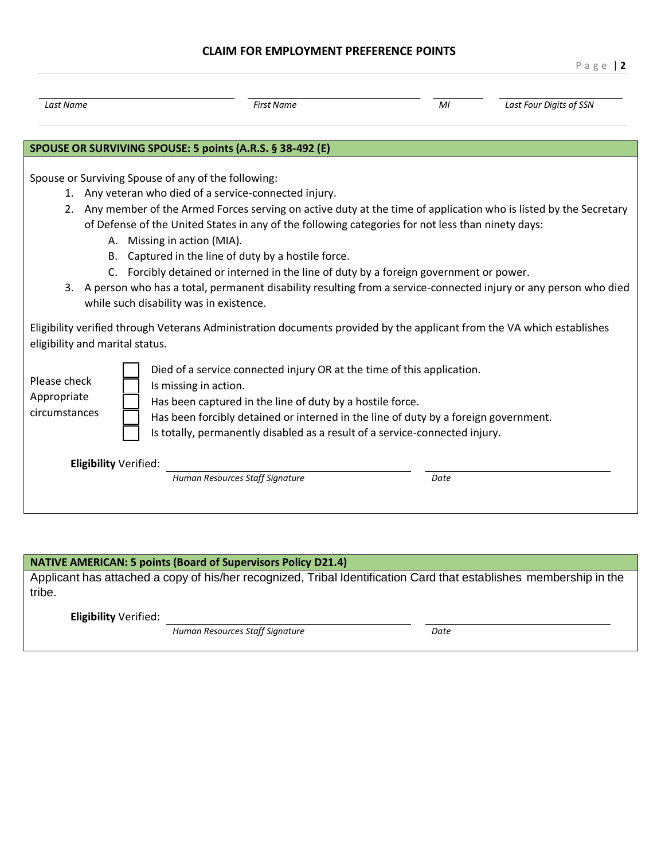### **CLAIM FOR EMPLOYMENT PREFERENCE POINTS**

| Last Name                                                                                                                                                                                                                                                                                                                                                                                                                                                                                                                                                                                                                                                                                    | <b>First Name</b>                                         | MI                                                                                                                                                                                                                                                                                                        | Last Four Digits of SSN |  |  |  |
|----------------------------------------------------------------------------------------------------------------------------------------------------------------------------------------------------------------------------------------------------------------------------------------------------------------------------------------------------------------------------------------------------------------------------------------------------------------------------------------------------------------------------------------------------------------------------------------------------------------------------------------------------------------------------------------------|-----------------------------------------------------------|-----------------------------------------------------------------------------------------------------------------------------------------------------------------------------------------------------------------------------------------------------------------------------------------------------------|-------------------------|--|--|--|
|                                                                                                                                                                                                                                                                                                                                                                                                                                                                                                                                                                                                                                                                                              | SPOUSE OR SURVIVING SPOUSE: 5 points (A.R.S. § 38-492 (E) |                                                                                                                                                                                                                                                                                                           |                         |  |  |  |
| Spouse or Surviving Spouse of any of the following:<br>1. Any veteran who died of a service-connected injury.<br>2. Any member of the Armed Forces serving on active duty at the time of application who is listed by the Secretary<br>of Defense of the United States in any of the following categories for not less than ninety days:<br>A. Missing in action (MIA).<br>Captured in the line of duty by a hostile force.<br>B.<br>C. Forcibly detained or interned in the line of duty by a foreign government or power.<br>3. A person who has a total, permanent disability resulting from a service-connected injury or any person who died<br>while such disability was in existence. |                                                           |                                                                                                                                                                                                                                                                                                           |                         |  |  |  |
| Eligibility verified through Veterans Administration documents provided by the applicant from the VA which establishes<br>eligibility and marital status.                                                                                                                                                                                                                                                                                                                                                                                                                                                                                                                                    |                                                           |                                                                                                                                                                                                                                                                                                           |                         |  |  |  |
| Please check<br>Appropriate<br>circumstances                                                                                                                                                                                                                                                                                                                                                                                                                                                                                                                                                                                                                                                 | Is missing in action.                                     | Died of a service connected injury OR at the time of this application.<br>Has been captured in the line of duty by a hostile force.<br>Has been forcibly detained or interned in the line of duty by a foreign government.<br>Is totally, permanently disabled as a result of a service-connected injury. |                         |  |  |  |
|                                                                                                                                                                                                                                                                                                                                                                                                                                                                                                                                                                                                                                                                                              | Eligibility Verified:<br>Human Resources Staff Signature  | Date                                                                                                                                                                                                                                                                                                      |                         |  |  |  |

## **NATIVE AMERICAN: 5 points (Board of Supervisors Policy D21.4)**

Applicant has attached a copy of his/her recognized, Tribal Identification Card that establishes membership in the tribe.

**Eligibility** Verified:

*Human Resources Staff Signature Date*